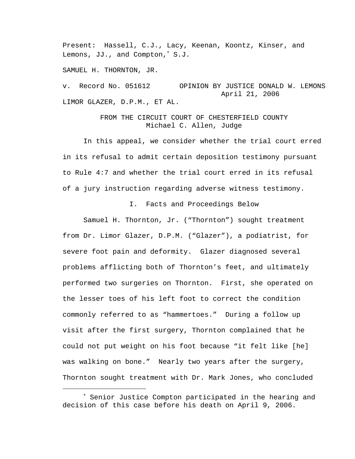Present: Hassell, C.J., Lacy, Keenan, Koontz, Kinser, and Lemons, JJ., and Compton,<sup>∗</sup> S.J.

SAMUEL H. THORNTON, JR.

i<br>Li

v. Record No. 051612 OPINION BY JUSTICE DONALD W. LEMONS April 21, 2006 LIMOR GLAZER, D.P.M., ET AL.

# FROM THE CIRCUIT COURT OF CHESTERFIELD COUNTY Michael C. Allen, Judge

 In this appeal, we consider whether the trial court erred in its refusal to admit certain deposition testimony pursuant to Rule 4:7 and whether the trial court erred in its refusal of a jury instruction regarding adverse witness testimony.

I. Facts and Proceedings Below

 Samuel H. Thornton, Jr. ("Thornton") sought treatment from Dr. Limor Glazer, D.P.M. ("Glazer"), a podiatrist, for severe foot pain and deformity. Glazer diagnosed several problems afflicting both of Thornton's feet, and ultimately performed two surgeries on Thornton. First, she operated on the lesser toes of his left foot to correct the condition commonly referred to as "hammertoes." During a follow up visit after the first surgery, Thornton complained that he could not put weight on his foot because "it felt like [he] was walking on bone." Nearly two years after the surgery, Thornton sought treatment with Dr. Mark Jones, who concluded

<sup>∗</sup> Senior Justice Compton participated in the hearing and decision of this case before his death on April 9, 2006.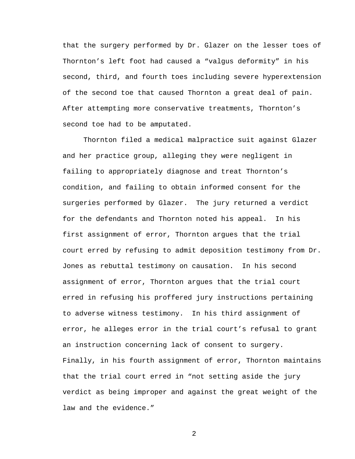that the surgery performed by Dr. Glazer on the lesser toes of Thornton's left foot had caused a "valgus deformity" in his second, third, and fourth toes including severe hyperextension of the second toe that caused Thornton a great deal of pain. After attempting more conservative treatments, Thornton's second toe had to be amputated.

 Thornton filed a medical malpractice suit against Glazer and her practice group, alleging they were negligent in failing to appropriately diagnose and treat Thornton's condition, and failing to obtain informed consent for the surgeries performed by Glazer. The jury returned a verdict for the defendants and Thornton noted his appeal. In his first assignment of error, Thornton argues that the trial court erred by refusing to admit deposition testimony from Dr. Jones as rebuttal testimony on causation. In his second assignment of error, Thornton argues that the trial court erred in refusing his proffered jury instructions pertaining to adverse witness testimony. In his third assignment of error, he alleges error in the trial court's refusal to grant an instruction concerning lack of consent to surgery. Finally, in his fourth assignment of error, Thornton maintains that the trial court erred in "not setting aside the jury verdict as being improper and against the great weight of the law and the evidence."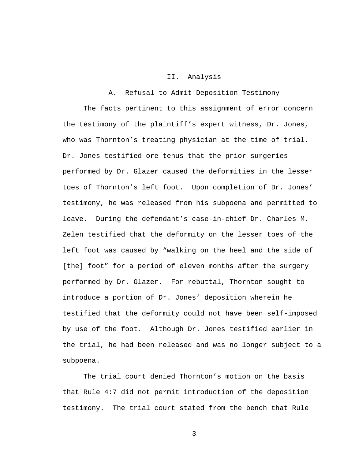#### II. Analysis

## A. Refusal to Admit Deposition Testimony

 The facts pertinent to this assignment of error concern the testimony of the plaintiff's expert witness, Dr. Jones, who was Thornton's treating physician at the time of trial. Dr. Jones testified ore tenus that the prior surgeries performed by Dr. Glazer caused the deformities in the lesser toes of Thornton's left foot. Upon completion of Dr. Jones' testimony, he was released from his subpoena and permitted to leave. During the defendant's case-in-chief Dr. Charles M. Zelen testified that the deformity on the lesser toes of the left foot was caused by "walking on the heel and the side of [the] foot" for a period of eleven months after the surgery performed by Dr. Glazer. For rebuttal, Thornton sought to introduce a portion of Dr. Jones' deposition wherein he testified that the deformity could not have been self-imposed by use of the foot. Although Dr. Jones testified earlier in the trial, he had been released and was no longer subject to a subpoena.

 The trial court denied Thornton's motion on the basis that Rule 4:7 did not permit introduction of the deposition testimony. The trial court stated from the bench that Rule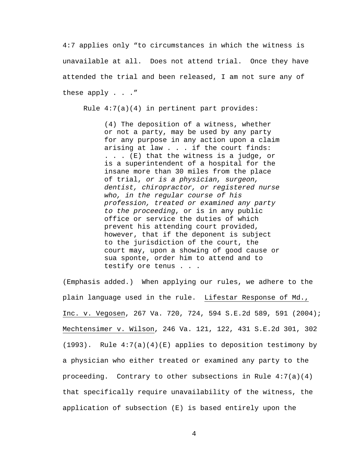4:7 applies only "to circumstances in which the witness is unavailable at all. Does not attend trial. Once they have attended the trial and been released, I am not sure any of these apply . . ."

Rule  $4:7(a)(4)$  in pertinent part provides:

(4) The deposition of a witness, whether or not a party, may be used by any party for any purpose in any action upon a claim arising at law . . . if the court finds: . . . (E) that the witness is a judge, or is a superintendent of a hospital for the insane more than 30 miles from the place of trial, *or is a physician, surgeon, dentist, chiropractor, or registered nurse who, in the regular course of his profession, treated or examined any party to the proceeding*, or is in any public office or service the duties of which prevent his attending court provided, however, that if the deponent is subject to the jurisdiction of the court, the court may, upon a showing of good cause or sua sponte, order him to attend and to testify ore tenus . . .

(Emphasis added.) When applying our rules, we adhere to the plain language used in the rule. Lifestar Response of Md., Inc. v. Vegosen, 267 Va. 720, 724, 594 S.E.2d 589, 591 (2004); Mechtensimer v. Wilson, 246 Va. 121, 122, 431 S.E.2d 301, 302  $(1993)$ . Rule  $4:7(a)(4)(E)$  applies to deposition testimony by a physician who either treated or examined any party to the proceeding. Contrary to other subsections in Rule  $4:7(a)(4)$ that specifically require unavailability of the witness, the application of subsection (E) is based entirely upon the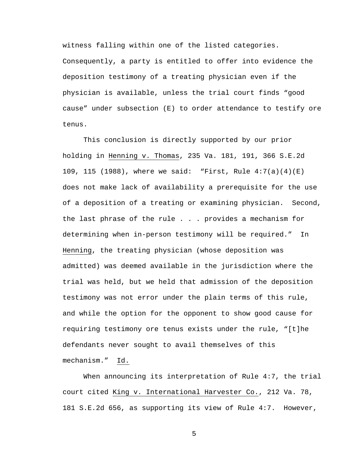witness falling within one of the listed categories. Consequently, a party is entitled to offer into evidence the deposition testimony of a treating physician even if the physician is available, unless the trial court finds "good cause" under subsection (E) to order attendance to testify ore tenus.

This conclusion is directly supported by our prior holding in Henning v. Thomas, 235 Va. 181, 191, 366 S.E.2d 109, 115 (1988), where we said: "First, Rule 4:7(a)(4)(E) does not make lack of availability a prerequisite for the use of a deposition of a treating or examining physician. Second, the last phrase of the rule . . . provides a mechanism for determining when in-person testimony will be required." In Henning, the treating physician (whose deposition was admitted) was deemed available in the jurisdiction where the trial was held, but we held that admission of the deposition testimony was not error under the plain terms of this rule, and while the option for the opponent to show good cause for requiring testimony ore tenus exists under the rule, "[t]he defendants never sought to avail themselves of this mechanism." Id.

When announcing its interpretation of Rule 4:7, the trial court cited King v. International Harvester Co., 212 Va. 78, 181 S.E.2d 656, as supporting its view of Rule 4:7. However,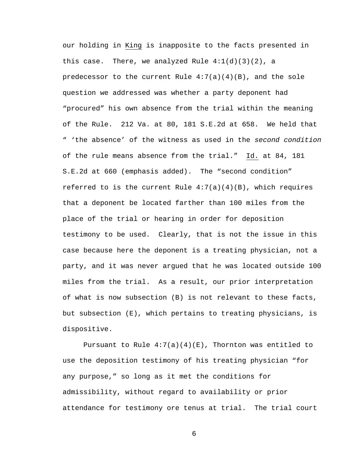our holding in King is inapposite to the facts presented in this case. There, we analyzed Rule  $4:1(d)(3)(2)$ , a predecessor to the current Rule  $4:7(a)(4)(B)$ , and the sole question we addressed was whether a party deponent had "procured" his own absence from the trial within the meaning of the Rule. 212 Va. at 80, 181 S.E.2d at 658. We held that " 'the absence' of the witness as used in the *second condition* of the rule means absence from the trial." Id. at 84, 181 S.E.2d at 660 (emphasis added). The "second condition" referred to is the current Rule  $4:7(a)(4)(B)$ , which requires that a deponent be located farther than 100 miles from the place of the trial or hearing in order for deposition testimony to be used. Clearly, that is not the issue in this case because here the deponent is a treating physician, not a party, and it was never argued that he was located outside 100 miles from the trial. As a result, our prior interpretation of what is now subsection (B) is not relevant to these facts, but subsection (E), which pertains to treating physicians, is dispositive.

Pursuant to Rule  $4:7(a)(4)(E)$ , Thornton was entitled to use the deposition testimony of his treating physician "for any purpose," so long as it met the conditions for admissibility, without regard to availability or prior attendance for testimony ore tenus at trial. The trial court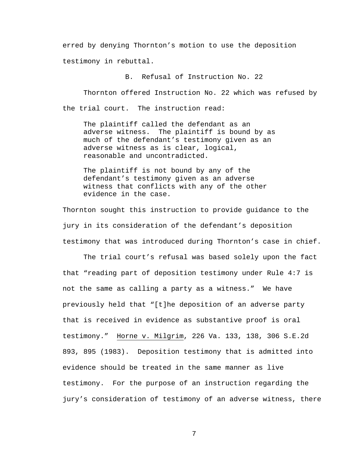erred by denying Thornton's motion to use the deposition testimony in rebuttal.

B. Refusal of Instruction No. 22

 Thornton offered Instruction No. 22 which was refused by the trial court. The instruction read:

The plaintiff called the defendant as an adverse witness. The plaintiff is bound by as much of the defendant's testimony given as an adverse witness as is clear, logical, reasonable and uncontradicted.

The plaintiff is not bound by any of the defendant's testimony given as an adverse witness that conflicts with any of the other evidence in the case.

Thornton sought this instruction to provide guidance to the jury in its consideration of the defendant's deposition testimony that was introduced during Thornton's case in chief.

The trial court's refusal was based solely upon the fact that "reading part of deposition testimony under Rule 4:7 is not the same as calling a party as a witness." We have previously held that "[t]he deposition of an adverse party that is received in evidence as substantive proof is oral testimony." Horne v. Milgrim, 226 Va. 133, 138, 306 S.E.2d 893, 895 (1983). Deposition testimony that is admitted into evidence should be treated in the same manner as live testimony. For the purpose of an instruction regarding the jury's consideration of testimony of an adverse witness, there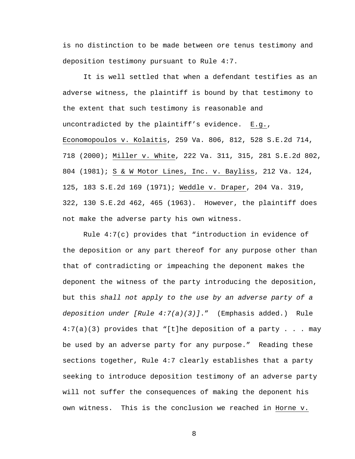is no distinction to be made between ore tenus testimony and deposition testimony pursuant to Rule 4:7.

It is well settled that when a defendant testifies as an adverse witness, the plaintiff is bound by that testimony to the extent that such testimony is reasonable and uncontradicted by the plaintiff's evidence. E.g., Economopoulos v. Kolaitis, 259 Va. 806, 812, 528 S.E.2d 714, 718 (2000); Miller v. White, 222 Va. 311, 315, 281 S.E.2d 802, 804 (1981); S & W Motor Lines, Inc. v. Bayliss, 212 Va. 124, 125, 183 S.E.2d 169 (1971); Weddle v. Draper, 204 Va. 319, 322, 130 S.E.2d 462, 465 (1963). However, the plaintiff does not make the adverse party his own witness.

Rule 4:7(c) provides that "introduction in evidence of the deposition or any part thereof for any purpose other than that of contradicting or impeaching the deponent makes the deponent the witness of the party introducing the deposition, but this *shall not apply to the use by an adverse party of a deposition under [Rule 4:7(a)(3)]*." (Emphasis added.) Rule  $4:7(a)(3)$  provides that "[t]he deposition of a party . . . may be used by an adverse party for any purpose." Reading these sections together, Rule 4:7 clearly establishes that a party seeking to introduce deposition testimony of an adverse party will not suffer the consequences of making the deponent his own witness. This is the conclusion we reached in Horne v.